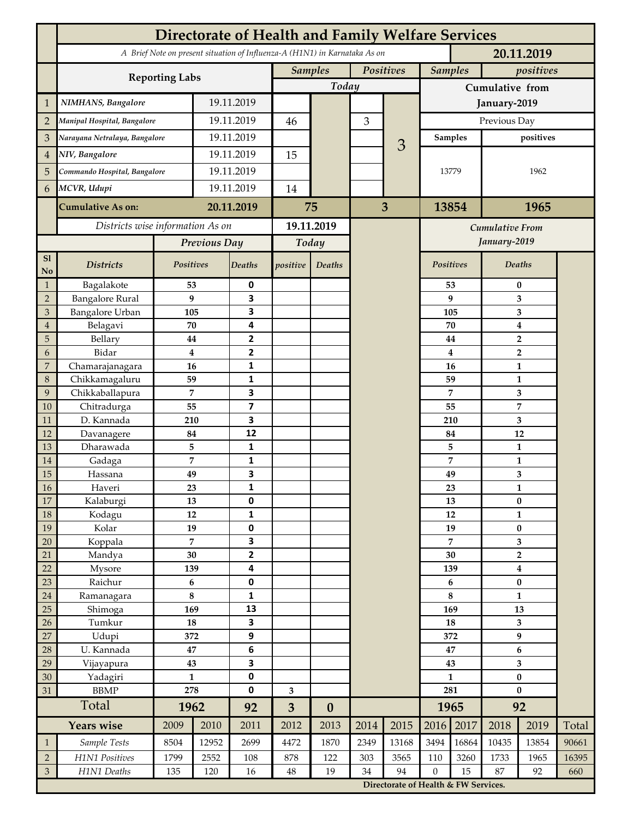|                | <b>Directorate of Health and Family Welfare Services</b>                                 |                     |            |                         |                |                  |           |                                                                                         |                      |          |                           |                  |       |  |
|----------------|------------------------------------------------------------------------------------------|---------------------|------------|-------------------------|----------------|------------------|-----------|-----------------------------------------------------------------------------------------|----------------------|----------|---------------------------|------------------|-------|--|
|                | A Brief Note on present situation of Influenza-A (H1N1) in Karnataka As on<br>20.11.2019 |                     |            |                         |                |                  |           |                                                                                         |                      |          |                           |                  |       |  |
|                | <b>Reporting Labs</b>                                                                    |                     |            | <b>Samples</b>          |                |                  | Positives |                                                                                         | <b>Samples</b>       |          | positives                 |                  |       |  |
|                |                                                                                          |                     |            |                         |                | Today            |           |                                                                                         | Cumulative from      |          |                           |                  |       |  |
| $\mathbf{1}$   | NIMHANS, Bangalore                                                                       | 19.11.2019          |            |                         |                | 3                |           | January-2019                                                                            |                      |          |                           |                  |       |  |
| $\overline{2}$ | Manipal Hospital, Bangalore                                                              |                     |            | 19.11.2019              |                |                  |           |                                                                                         | Previous Day         |          |                           |                  |       |  |
| 3              | Narayana Netralaya, Bangalore                                                            |                     |            | 19.11.2019              |                |                  |           |                                                                                         | positives<br>Samples |          |                           |                  |       |  |
| $\overline{4}$ | NIV, Bangalore                                                                           |                     | 19.11.2019 |                         | 15             |                  | 3         |                                                                                         | 13779                |          |                           |                  |       |  |
| 5              | Commando Hospital, Bangalore                                                             |                     | 19.11.2019 |                         |                |                  |           |                                                                                         |                      |          |                           | 1962             |       |  |
| 6              | MCVR, Udupi                                                                              |                     | 19.11.2019 |                         | 14             |                  |           |                                                                                         |                      |          |                           |                  |       |  |
|                | <b>Cumulative As on:</b>                                                                 |                     |            | 20.11.2019              |                | 75               |           | 3                                                                                       |                      | 13854    |                           | 1965             |       |  |
|                | Districts wise information As on                                                         |                     |            | 19.11.2019              |                |                  |           |                                                                                         |                      |          |                           |                  |       |  |
|                |                                                                                          | Previous Day        |            | Today                   |                |                  |           | <b>Cumulative From</b><br>January-2019                                                  |                      |          |                           |                  |       |  |
| S1             |                                                                                          |                     |            |                         |                |                  |           |                                                                                         |                      |          |                           |                  |       |  |
| No             | <b>Districts</b>                                                                         | Positives           |            | Deaths                  | positive       | Deaths           |           |                                                                                         | Positives            |          |                           | Deaths           |       |  |
| $\mathbf{1}$   | Bagalakote                                                                               | 53                  |            | 0                       |                |                  |           |                                                                                         | 53                   | $\bf{0}$ |                           |                  |       |  |
| $\overline{2}$ | <b>Bangalore Rural</b>                                                                   | 9                   |            | 3                       |                |                  |           |                                                                                         |                      | 9        | 3                         |                  |       |  |
| 3              | Bangalore Urban                                                                          | 105                 |            | 3                       |                |                  |           |                                                                                         | 105                  |          | 3                         |                  |       |  |
| $\overline{4}$ | Belagavi                                                                                 | 70                  |            | 4                       |                |                  |           |                                                                                         |                      | 70       | $\boldsymbol{4}$          |                  |       |  |
| 5              | Bellary<br>Bidar                                                                         | 44<br>$\bf{4}$      |            | 2<br>$\mathbf{2}$       |                |                  |           |                                                                                         |                      | 44       | $\overline{2}$            |                  |       |  |
| 6<br>7         | Chamarajanagara                                                                          | 16                  |            | 1                       |                |                  |           |                                                                                         |                      | 4<br>16  | $\overline{2}$<br>1       |                  |       |  |
| 8              | Chikkamagaluru                                                                           | 59                  |            | 1                       |                |                  |           |                                                                                         |                      | 59       |                           | 1                |       |  |
| 9              | Chikkaballapura                                                                          | 7                   |            | 3                       |                |                  |           |                                                                                         |                      | 7        |                           | 3                |       |  |
| 10             | Chitradurga                                                                              | 55                  |            | $\overline{\mathbf{z}}$ |                |                  |           |                                                                                         |                      | 55       |                           | 7                |       |  |
| 11             | D. Kannada                                                                               | 210                 |            | 3                       |                |                  |           |                                                                                         |                      | 210      |                           | 3                |       |  |
| 12             | Davanagere                                                                               | 84                  |            | 12                      |                |                  |           |                                                                                         |                      | 84       |                           | 12               |       |  |
| 13             | Dharawada                                                                                | 5                   |            | $\mathbf{1}$            |                |                  |           |                                                                                         |                      | 5        |                           | $\mathbf{1}$     |       |  |
| 14             | Gadaga                                                                                   | 7                   |            | 1                       |                |                  |           |                                                                                         |                      | 7        | 1                         |                  |       |  |
| 15             | Hassana                                                                                  | 49                  |            | 3                       |                |                  |           |                                                                                         |                      | 49       | 3                         |                  |       |  |
| <b>16</b>      | Haveri                                                                                   | 23                  |            | 1                       |                |                  |           |                                                                                         |                      | 23       | 1                         |                  |       |  |
| 17             | Kalaburgi                                                                                | 13<br>12            |            | 0                       |                |                  |           |                                                                                         |                      | 13       | $\pmb{0}$<br>$\mathbf{1}$ |                  |       |  |
| 18<br>19       | Kodagu<br>Kolar                                                                          | 19                  |            | $\mathbf{1}$<br>0       |                |                  |           |                                                                                         |                      | 12<br>19 |                           | $\pmb{0}$        |       |  |
| 20             | Koppala                                                                                  | $\overline{7}$      |            | 3                       |                |                  |           |                                                                                         |                      | 7        | 3                         |                  |       |  |
| 21             | Mandya                                                                                   | $30\,$              |            | $\mathbf{2}$            |                |                  |           |                                                                                         | 30                   |          | $\mathbf 2$               |                  |       |  |
| 22             | Mysore                                                                                   | 139                 |            | 4                       |                |                  |           |                                                                                         | 139                  |          |                           | $\boldsymbol{4}$ |       |  |
| 23             | Raichur                                                                                  | $\bf 6$             |            | $\pmb{0}$               |                |                  |           |                                                                                         |                      | 6        | $\pmb{0}$                 |                  |       |  |
| $24\,$         | Ramanagara                                                                               | $\bf 8$             |            | 1                       |                |                  |           |                                                                                         | 8                    |          | $\mathbf{1}$              |                  |       |  |
| 25             | Shimoga                                                                                  | 169                 |            | 13                      |                |                  |           |                                                                                         | 169                  |          | 13                        |                  |       |  |
| 26             | Tumkur                                                                                   | ${\bf 18}$          |            | 3                       |                |                  |           |                                                                                         |                      | 18       |                           | 3                |       |  |
| 27             | Udupi                                                                                    | 372                 |            | 9                       |                |                  |           |                                                                                         | 372                  |          | $\boldsymbol{9}$          |                  |       |  |
| 28             | U. Kannada                                                                               | $\bf 47$            |            | $\bf 6$                 |                |                  |           |                                                                                         | 47                   |          | $\bf 6$                   |                  |       |  |
| 29             | Vijayapura                                                                               | 43                  |            | 3                       |                |                  |           |                                                                                         | 43                   |          | $\overline{\mathbf{3}}$   |                  |       |  |
| 30             | Yadagiri<br><b>BBMP</b>                                                                  | $\mathbf{1}$<br>278 |            | 0<br>0                  |                |                  |           |                                                                                         | $\mathbf{1}$<br>281  |          | $\pmb{0}$<br>$\bf{0}$     |                  |       |  |
| 31             | Total                                                                                    |                     |            |                         | 3              |                  |           |                                                                                         | 1965                 |          |                           |                  |       |  |
|                |                                                                                          | 1962                |            | 92                      | $\overline{3}$ | $\boldsymbol{0}$ |           |                                                                                         |                      |          | 92                        |                  |       |  |
|                | <b>Years wise</b>                                                                        | 2009                | 2010       | 2011                    | 2012           | 2013             | 2014      | 2015                                                                                    | 2016                 | 2017     | 2018                      | 2019             | Total |  |
| $\mathbf{1}$   | Sample Tests                                                                             | 8504                | 12952      | 2699                    | 4472           | 1870             | 2349      | 13168                                                                                   | 3494                 | 16864    | 10435                     | 13854            | 90661 |  |
| $\overline{2}$ | H1N1 Positives                                                                           | 1799                | 2552       | 108                     | 878<br>$48\,$  | 122<br>19        | 303       | 3565                                                                                    | 110                  | 3260     | 1733                      | 1965             | 16395 |  |
| $\mathfrak{Z}$ | H1N1 Deaths                                                                              | 135<br>120<br>16    |            |                         |                |                  | 34        | 94<br>$\boldsymbol{0}$<br>15<br>87<br>92<br>660<br>Directorate of Health & FW Services. |                      |          |                           |                  |       |  |